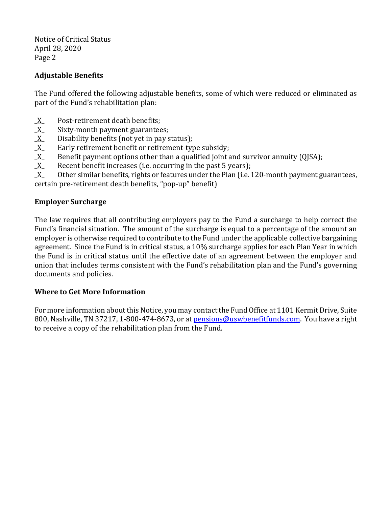Notice of Critical Status April 28, 2020 Page 2

## **Adjustable Benefits**

The Fund offered the following adjustable benefits, some of which were reduced or eliminated as part of the Fund's rehabilitation plan:

- \_X\_ Post-retirement death benefits;
- $\underline{X}$  Sixty-month payment guarantees;
- $\underline{X}$  Disability benefits (not yet in pay status);
- $\underline{X}$  Early retirement benefit or retirement-type subsidy;
- \_X\_ Benefit payment options other than a qualified joint and survivor annuity (QJSA);
- $X$  Recent benefit increases (i.e. occurring in the past 5 years);
- $X$  Other similar benefits, rights or features under the Plan (i.e. 120-month payment guarantees,

certain pre-retirement death benefits, "pop-up" benefit)

### **Employer Surcharge**

The law requires that all contributing employers pay to the Fund a surcharge to help correct the Fund's financial situation. The amount of the surcharge is equal to a percentage of the amount an employer is otherwise required to contribute to the Fund under the applicable collective bargaining agreement. Since the Fund is in critical status, a 10% surcharge applies for each Plan Year in which the Fund is in critical status until the effective date of an agreement between the employer and union that includes terms consistent with the Fund's rehabilitation plan and the Fund's governing documents and policies.

### **Where to Get More Information**

For more information about this Notice, you may contact the Fund Office at 1101 Kermit Drive, Suite 800, Nashville, TN 37217, 1-800-474-8673, or a[t pensions@uswbenefitfunds.com.](mailto:pensions@uswbenefitfunds.com) You have a right to receive a copy of the rehabilitation plan from the Fund.